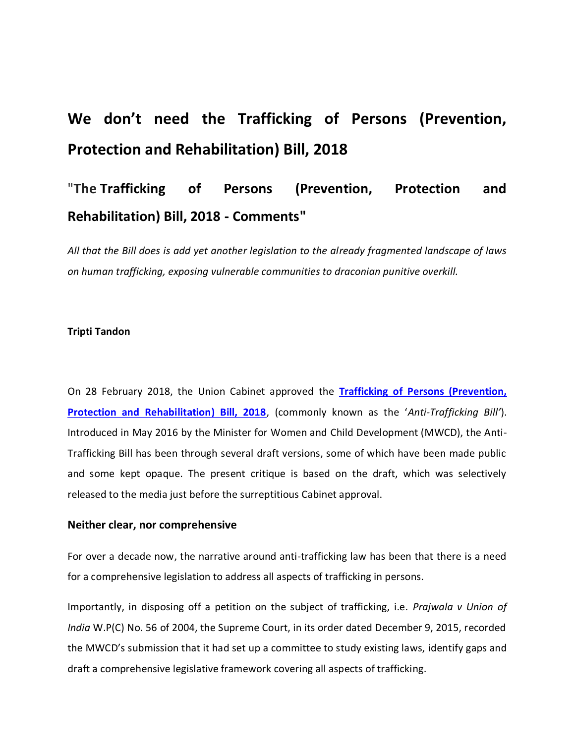# **We don't need the Trafficking of Persons (Prevention, Protection and Rehabilitation) Bill, 2018**

# "**The Trafficking of Persons (Prevention, Protection and Rehabilitation) Bill, 2018 - Comments"**

*All that the Bill does is add yet another legislation to the already fragmented landscape of laws on human trafficking, exposing vulnerable communities to draconian punitive overkill.* 

#### **Tripti Tandon**

On 28 February 2018, the Union Cabinet approved the **[Trafficking of Persons \(Prevention,](http://www.prsindia.org/uploads/media/draft/Draft%20Trafficking%20Persons%20Prevention%20Protection%20and%20Rehabilitation%20Bill%202016.pdf)  [Protection and Rehabilitation\) Bill, 2018](http://www.prsindia.org/uploads/media/draft/Draft%20Trafficking%20Persons%20Prevention%20Protection%20and%20Rehabilitation%20Bill%202016.pdf)**, (commonly known as the '*Anti-Trafficking Bill'*). Introduced in May 2016 by the Minister for Women and Child Development (MWCD), the Anti-Trafficking Bill has been through several draft versions, some of which have been made public and some kept opaque. The present critique is based on the draft, which was selectively released to the media just before the surreptitious Cabinet approval.

#### **Neither clear, nor comprehensive**

For over a decade now, the narrative around anti-trafficking law has been that there is a need for a comprehensive legislation to address all aspects of trafficking in persons.

Importantly, in disposing off a petition on the subject of trafficking, i.e. *Prajwala v Union of India* W.P(C) No. 56 of 2004, the Supreme Court, in its order dated December 9, 2015, recorded the MWCD's submission that it had set up a committee to study existing laws, identify gaps and draft a comprehensive legislative framework covering all aspects of trafficking.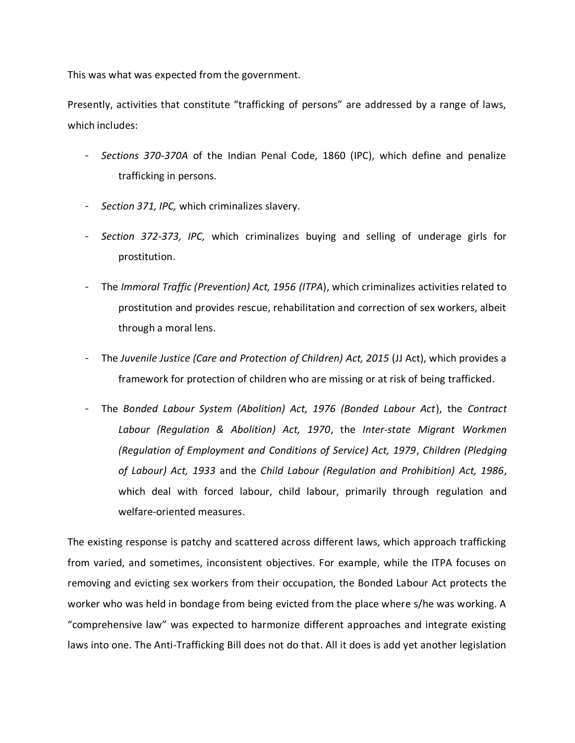This was what was expected from the government.

Presently, activities that constitute "trafficking of persons" are addressed by a range of laws, which includes:

- *Sections 370-370A* of the Indian Penal Code, 1860 (IPC), which define and penalize trafficking in persons.
- Section 371, IPC, which criminalizes slavery.
- *Section 372-373, IPC,* which criminalizes buying and selling of underage girls for prostitution.
- The *Immoral Traffic (Prevention) Act, 1956 (ITPA*), which criminalizes activities related to prostitution and provides rescue, rehabilitation and correction of sex workers, albeit through a moral lens.
- The *Juvenile Justice (Care and Protection of Children) Act, 2015* (JJ Act), which provides a framework for protection of children who are missing or at risk of being trafficked.
- The *Bonded Labour System (Abolition) Act, 1976 (Bonded Labour Act*), the *Contract Labour (Regulation & Abolition) Act, 1970*, the *Inter-state Migrant Workmen (Regulation of Employment and Conditions of Service) Act, 1979*, *Children (Pledging of Labour) Act, 1933* and the *Child Labour (Regulation and Prohibition) Act, 1986*, which deal with forced labour, child labour, primarily through regulation and welfare-oriented measures.

The existing response is patchy and scattered across different laws, which approach trafficking from varied, and sometimes, inconsistent objectives. For example, while the ITPA focuses on removing and evicting sex workers from their occupation, the Bonded Labour Act protects the worker who was held in bondage from being evicted from the place where s/he was working. A "comprehensive law" was expected to harmonize different approaches and integrate existing laws into one. The Anti-Trafficking Bill does not do that. All it does is add yet another legislation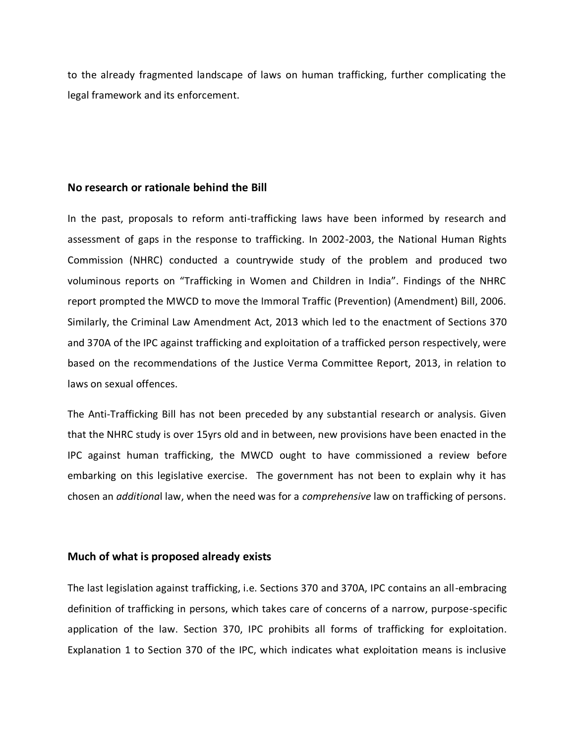to the already fragmented landscape of laws on human trafficking, further complicating the legal framework and its enforcement.

# **No research or rationale behind the Bill**

In the past, proposals to reform anti-trafficking laws have been informed by research and assessment of gaps in the response to trafficking. In 2002-2003, the National Human Rights Commission (NHRC) conducted a countrywide study of the problem and produced two voluminous reports on "Trafficking in Women and Children in India". Findings of the NHRC report prompted the MWCD to move the Immoral Traffic (Prevention) (Amendment) Bill, 2006. Similarly, the Criminal Law Amendment Act, 2013 which led to the enactment of Sections 370 and 370A of the IPC against trafficking and exploitation of a trafficked person respectively, were based on the recommendations of the Justice Verma Committee Report, 2013, in relation to laws on sexual offences.

The Anti-Trafficking Bill has not been preceded by any substantial research or analysis. Given that the NHRC study is over 15yrs old and in between, new provisions have been enacted in the IPC against human trafficking, the MWCD ought to have commissioned a review before embarking on this legislative exercise. The government has not been to explain why it has chosen an *additiona*l law, when the need was for a *comprehensive* law on trafficking of persons.

# **Much of what is proposed already exists**

The last legislation against trafficking, i.e. Sections 370 and 370A, IPC contains an all-embracing definition of trafficking in persons, which takes care of concerns of a narrow, purpose-specific application of the law. Section 370, IPC prohibits all forms of trafficking for exploitation. Explanation 1 to Section 370 of the IPC, which indicates what exploitation means is inclusive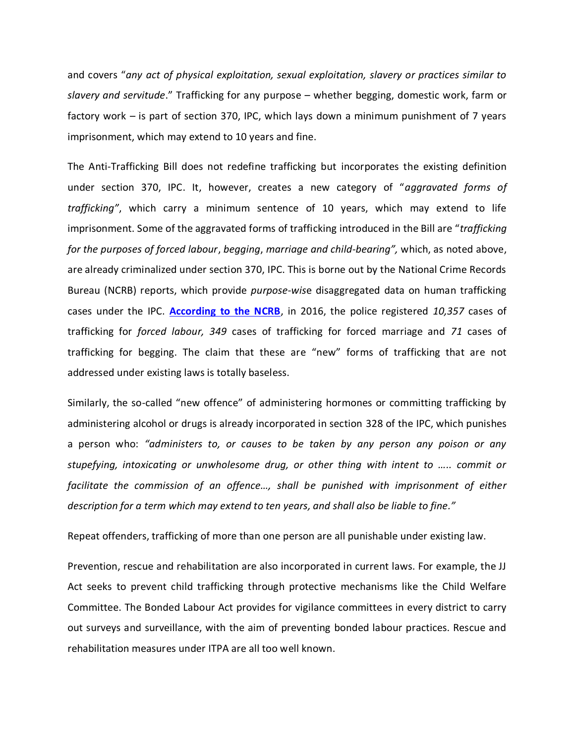and covers "*any act of physical exploitation, sexual exploitation, slavery or practices similar to slavery and servitude*." Trafficking for any purpose – whether begging, domestic work, farm or factory work – is part of section 370, IPC, which lays down a minimum punishment of 7 years imprisonment, which may extend to 10 years and fine.

The Anti-Trafficking Bill does not redefine trafficking but incorporates the existing definition under section 370, IPC. It, however, creates a new category of "*aggravated forms of trafficking"*, which carry a minimum sentence of 10 years, which may extend to life imprisonment. Some of the aggravated forms of trafficking introduced in the Bill are "*trafficking for the purposes of forced labour*, *begging*, *marriage and child-bearing",* which, as noted above, are already criminalized under section 370, IPC. This is borne out by the National Crime Records Bureau (NCRB) reports, which provide *purpose-wis*e disaggregated data on human trafficking cases under the IPC. **According to the NCRB**, in 2016, the police registered *10,357* cases of trafficking for *forced labour, 349* cases of trafficking for forced marriage and *71* cases of trafficking for begging. The claim that these are "new" forms of trafficking that are not addressed under existing laws is totally baseless.

Similarly, the so-called "new offence" of administering hormones or committing trafficking by administering alcohol or drugs is already incorporated in section 328 of the IPC, which punishes a person who: *"administers to, or causes to be taken by any person any poison or any stupefying, intoxicating or unwholesome drug, or other thing with intent to ….. commit or facilitate the commission of an offence…, shall be punished with imprisonment of either description for a term which may extend to ten years, and shall also be liable to fine."*

Repeat offenders, trafficking of more than one person are all punishable under existing law.

Prevention, rescue and rehabilitation are also incorporated in current laws. For example, the JJ Act seeks to prevent child trafficking through protective mechanisms like the Child Welfare Committee. The Bonded Labour Act provides for vigilance committees in every district to carry out surveys and surveillance, with the aim of preventing bonded labour practices. Rescue and rehabilitation measures under ITPA are all too well known.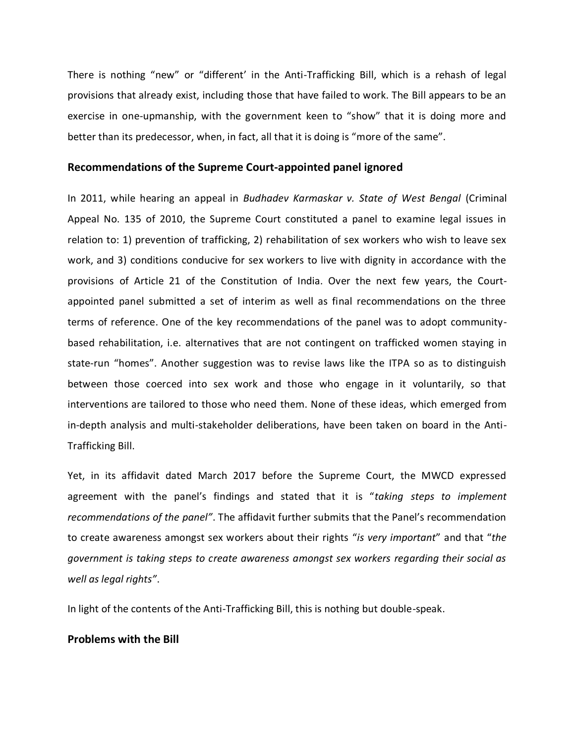There is nothing "new" or "different' in the Anti-Trafficking Bill, which is a rehash of legal provisions that already exist, including those that have failed to work. The Bill appears to be an exercise in one-upmanship, with the government keen to "show" that it is doing more and better than its predecessor, when, in fact, all that it is doing is "more of the same".

#### **Recommendations of the Supreme Court-appointed panel ignored**

In 2011, while hearing an appeal in *Budhadev Karmaskar v. State of West Bengal* (Criminal Appeal No. 135 of 2010, the Supreme Court constituted a panel to examine legal issues in relation to: 1) prevention of trafficking, 2) rehabilitation of sex workers who wish to leave sex work, and 3) conditions conducive for sex workers to live with dignity in accordance with the provisions of Article 21 of the Constitution of India. Over the next few years, the Courtappointed panel submitted a set of interim as well as final recommendations on the three terms of reference. One of the key recommendations of the panel was to adopt communitybased rehabilitation, i.e. alternatives that are not contingent on trafficked women staying in state-run "homes". Another suggestion was to revise laws like the ITPA so as to distinguish between those coerced into sex work and those who engage in it voluntarily, so that interventions are tailored to those who need them. None of these ideas, which emerged from in-depth analysis and multi-stakeholder deliberations, have been taken on board in the Anti-Trafficking Bill.

Yet, in its affidavit dated March 2017 before the Supreme Court, the MWCD expressed agreement with the panel's findings and stated that it is "*taking steps to implement recommendations of the panel"*. The affidavit further submits that the Panel's recommendation to create awareness amongst sex workers about their rights "*is very important*" and that "*the government is taking steps to create awareness amongst sex workers regarding their social as well as legal rights"*.

In light of the contents of the Anti-Trafficking Bill, this is nothing but double-speak.

### **Problems with the Bill**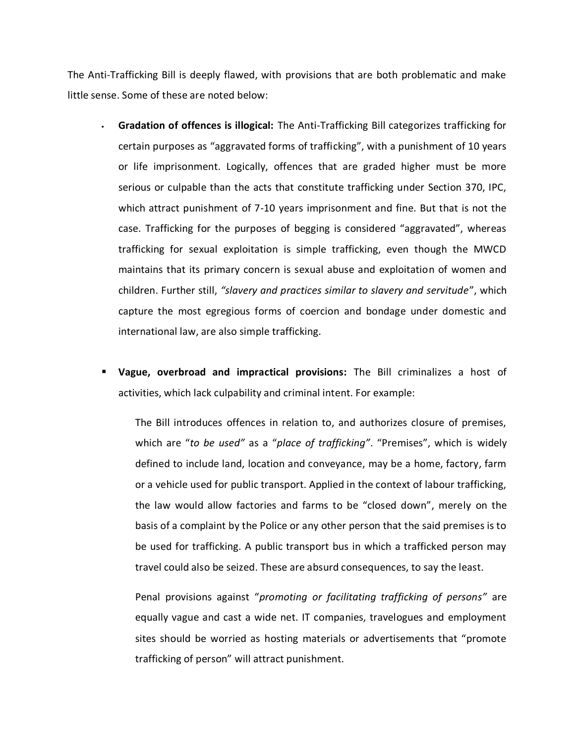The Anti-Trafficking Bill is deeply flawed, with provisions that are both problematic and make little sense. Some of these are noted below:

- **Gradation of offences is illogical:** The Anti-Trafficking Bill categorizes trafficking for certain purposes as "aggravated forms of trafficking", with a punishment of 10 years or life imprisonment. Logically, offences that are graded higher must be more serious or culpable than the acts that constitute trafficking under Section 370, IPC, which attract punishment of 7-10 years imprisonment and fine. But that is not the case. Trafficking for the purposes of begging is considered "aggravated", whereas trafficking for sexual exploitation is simple trafficking, even though the MWCD maintains that its primary concern is sexual abuse and exploitation of women and children. Further still, *"slavery and practices similar to slavery and servitude*", which capture the most egregious forms of coercion and bondage under domestic and international law, are also simple trafficking.
- **Vague, overbroad and impractical provisions:** The Bill criminalizes a host of activities, which lack culpability and criminal intent. For example:

The Bill introduces offences in relation to, and authorizes closure of premises, which are "*to be used"* as a "*place of trafficking"*. "Premises", which is widely defined to include land, location and conveyance, may be a home, factory, farm or a vehicle used for public transport. Applied in the context of labour trafficking, the law would allow factories and farms to be "closed down", merely on the basis of a complaint by the Police or any other person that the said premises is to be used for trafficking. A public transport bus in which a trafficked person may travel could also be seized. These are absurd consequences, to say the least.

Penal provisions against "*promoting or facilitating trafficking of persons"* are equally vague and cast a wide net. IT companies, travelogues and employment sites should be worried as hosting materials or advertisements that "promote trafficking of person" will attract punishment.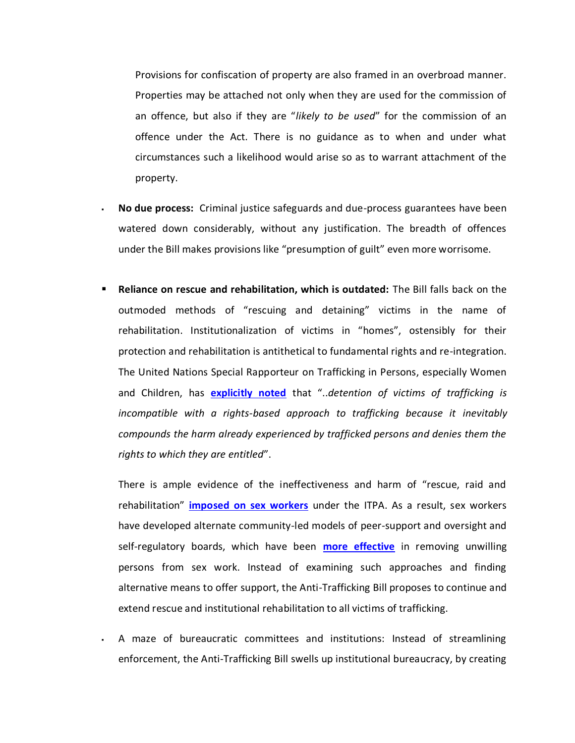Provisions for confiscation of property are also framed in an overbroad manner. Properties may be attached not only when they are used for the commission of an offence, but also if they are "*likely to be used*" for the commission of an offence under the Act. There is no guidance as to when and under what circumstances such a likelihood would arise so as to warrant attachment of the property.

- **No due process:** Criminal justice safeguards and due-process guarantees have been watered down considerably, without any justification. The breadth of offences under the Bill makes provisions like "presumption of guilt" even more worrisome.
- **Reliance on rescue and rehabilitation, which is outdated:** The Bill falls back on the outmoded methods of "rescuing and detaining" victims in the name of rehabilitation. Institutionalization of victims in "homes", ostensibly for their protection and rehabilitation is antithetical to fundamental rights and re-integration. The United Nations Special Rapporteur on Trafficking in Persons, especially Women and Children, has **[explicitly noted](http://www.ohchr.org/EN/HRBodies/HRC/RegularSessions/Session25/Pages/25RegularSession.aspx)** that "..*detention of victims of trafficking is incompatible with a rights-based approach to trafficking because it inevitably compounds the harm already experienced by trafficked persons and denies them the rights to which they are entitled*".

There is ample evidence of the ineffectiveness and harm of "rescue, raid and rehabilitation" **imposed on sex workers** under the ITPA. As a result, sex workers have developed alternate community-led models of peer-support and oversight and self-regulatory boards, which have been **[more effective](https://academic.oup.com/jpubhealth/article/36/4/622/1528364)** in removing unwilling persons from sex work. Instead of examining such approaches and finding alternative means to offer support, the Anti-Trafficking Bill proposes to continue and extend rescue and institutional rehabilitation to all victims of trafficking.

 A maze of bureaucratic committees and institutions: Instead of streamlining enforcement, the Anti-Trafficking Bill swells up institutional bureaucracy, by creating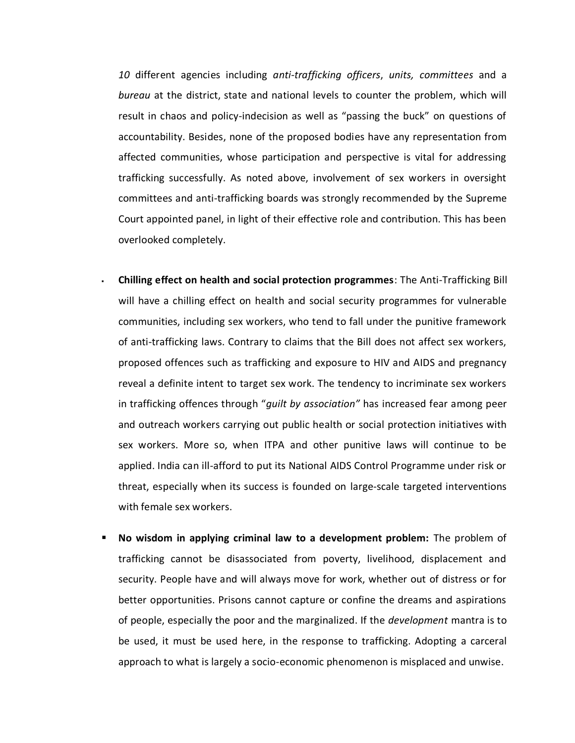*10* different agencies including *anti-trafficking officers*, *units, committees* and a *bureau* at the district, state and national levels to counter the problem, which will result in chaos and policy-indecision as well as "passing the buck" on questions of accountability. Besides, none of the proposed bodies have any representation from affected communities, whose participation and perspective is vital for addressing trafficking successfully. As noted above, involvement of sex workers in oversight committees and anti-trafficking boards was strongly recommended by the Supreme Court appointed panel, in light of their effective role and contribution. This has been overlooked completely.

- **Chilling effect on health and social protection programmes**: The Anti-Trafficking Bill will have a chilling effect on health and social security programmes for vulnerable communities, including sex workers, who tend to fall under the punitive framework of anti-trafficking laws. Contrary to claims that the Bill does not affect sex workers, proposed offences such as trafficking and exposure to HIV and AIDS and pregnancy reveal a definite intent to target sex work. The tendency to incriminate sex workers in trafficking offences through "*guilt by association"* has increased fear among peer and outreach workers carrying out public health or social protection initiatives with sex workers. More so, when ITPA and other punitive laws will continue to be applied. India can ill-afford to put its National AIDS Control Programme under risk or threat, especially when its success is founded on large-scale targeted interventions with female sex workers.
- **No wisdom in applying criminal law to a development problem:** The problem of trafficking cannot be disassociated from poverty, livelihood, displacement and security. People have and will always move for work, whether out of distress or for better opportunities. Prisons cannot capture or confine the dreams and aspirations of people, especially the poor and the marginalized. If the *development* mantra is to be used, it must be used here, in the response to trafficking. Adopting a carceral approach to what is largely a socio-economic phenomenon is misplaced and unwise.